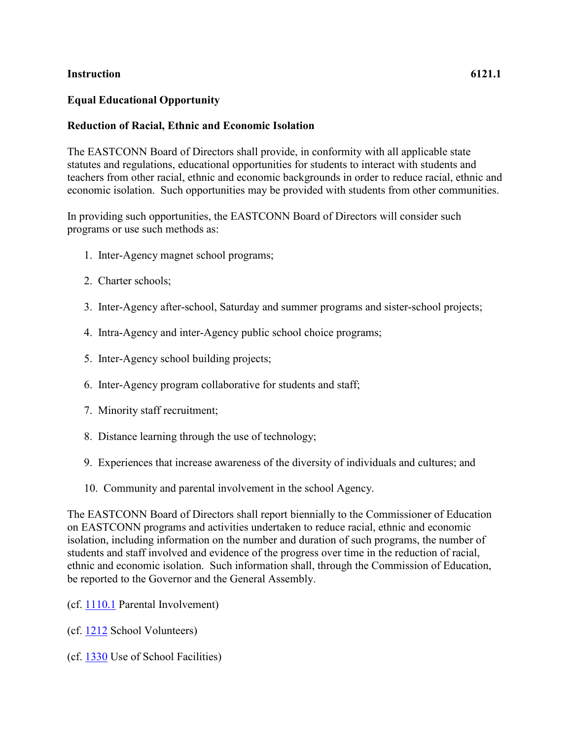## **Instruction 6121.1**

## **Equal Educational Opportunity**

## **Reduction of Racial, Ethnic and Economic Isolation**

The EASTCONN Board of Directors shall provide, in conformity with all applicable state statutes and regulations, educational opportunities for students to interact with students and teachers from other racial, ethnic and economic backgrounds in order to reduce racial, ethnic and economic isolation. Such opportunities may be provided with students from other communities.

In providing such opportunities, the EASTCONN Board of Directors will consider such programs or use such methods as:

- 1. Inter-Agency magnet school programs;
- 2. Charter schools;
- 3. Inter-Agency after-school, Saturday and summer programs and sister-school projects;
- 4. Intra-Agency and inter-Agency public school choice programs;
- 5. Inter-Agency school building projects;
- 6. Inter-Agency program collaborative for students and staff;
- 7. Minority staff recruitment;
- 8. Distance learning through the use of technology;
- 9. Experiences that increase awareness of the diversity of individuals and cultures; and
- 10. Community and parental involvement in the school Agency.

The EASTCONN Board of Directors shall report biennially to the Commissioner of Education on EASTCONN programs and activities undertaken to reduce racial, ethnic and economic isolation, including information on the number and duration of such programs, the number of students and staff involved and evidence of the progress over time in the reduction of racial, ethnic and economic isolation. Such information shall, through the Commission of Education, be reported to the Governor and the General Assembly.

- (cf. [1110.1](http://z2policy.cabe.org/cabe/DocViewer.jsp?docid=16&z2collection=core#JD_1110.1) Parental Involvement)
- (cf. [1212](http://z2policy.cabe.org/cabe/DocViewer.jsp?docid=33&z2collection=core#JD_1212) School Volunteers)
- (cf. [1330](http://z2policy.cabe.org/cabe/DocViewer.jsp?docid=48&z2collection=core#JD_1330) Use of School Facilities)